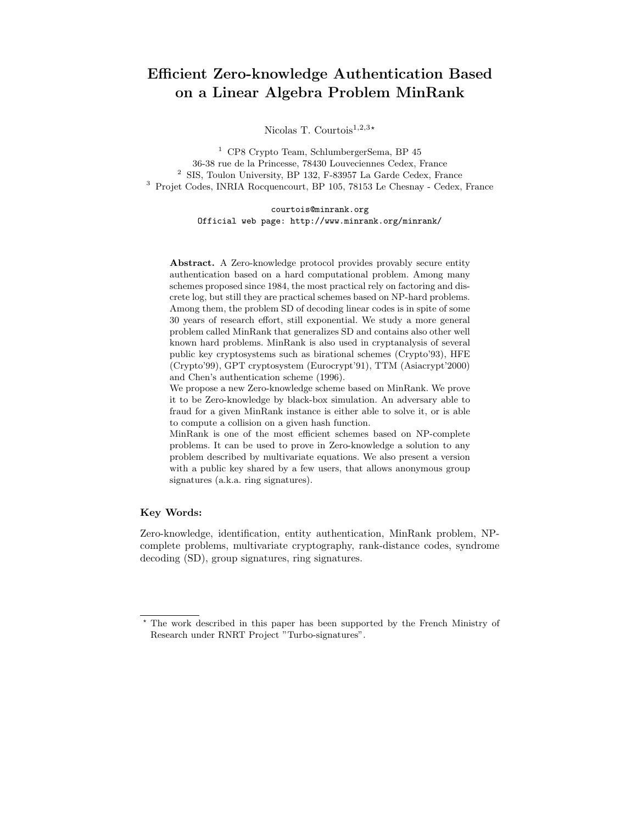# Efficient Zero-knowledge Authentication Based on a Linear Algebra Problem MinRank

Nicolas T. Courtois<sup>1,2,3\*</sup>

<sup>1</sup> CP8 Crypto Team, SchlumbergerSema, BP 45 36-38 rue de la Princesse, 78430 Louveciennes Cedex, France  $^2$  SIS, Toulon University, BP 132, F-83957 La Garde Cedex, France <sup>3</sup> Projet Codes, INRIA Rocquencourt, BP 105, 78153 Le Chesnay - Cedex, France

> courtois@minrank.org Official web page: http://www.minrank.org/minrank/

Abstract. A Zero-knowledge protocol provides provably secure entity authentication based on a hard computational problem. Among many schemes proposed since 1984, the most practical rely on factoring and discrete log, but still they are practical schemes based on NP-hard problems. Among them, the problem SD of decoding linear codes is in spite of some 30 years of research effort, still exponential. We study a more general problem called MinRank that generalizes SD and contains also other well known hard problems. MinRank is also used in cryptanalysis of several public key cryptosystems such as birational schemes (Crypto'93), HFE (Crypto'99), GPT cryptosystem (Eurocrypt'91), TTM (Asiacrypt'2000) and Chen's authentication scheme (1996).

We propose a new Zero-knowledge scheme based on MinRank. We prove it to be Zero-knowledge by black-box simulation. An adversary able to fraud for a given MinRank instance is either able to solve it, or is able to compute a collision on a given hash function.

MinRank is one of the most efficient schemes based on NP-complete problems. It can be used to prove in Zero-knowledge a solution to any problem described by multivariate equations. We also present a version with a public key shared by a few users, that allows anonymous group signatures (a.k.a. ring signatures).

### Key Words:

Zero-knowledge, identification, entity authentication, MinRank problem, NPcomplete problems, multivariate cryptography, rank-distance codes, syndrome decoding (SD), group signatures, ring signatures.

<sup>?</sup> The work described in this paper has been supported by the French Ministry of Research under RNRT Project "Turbo-signatures".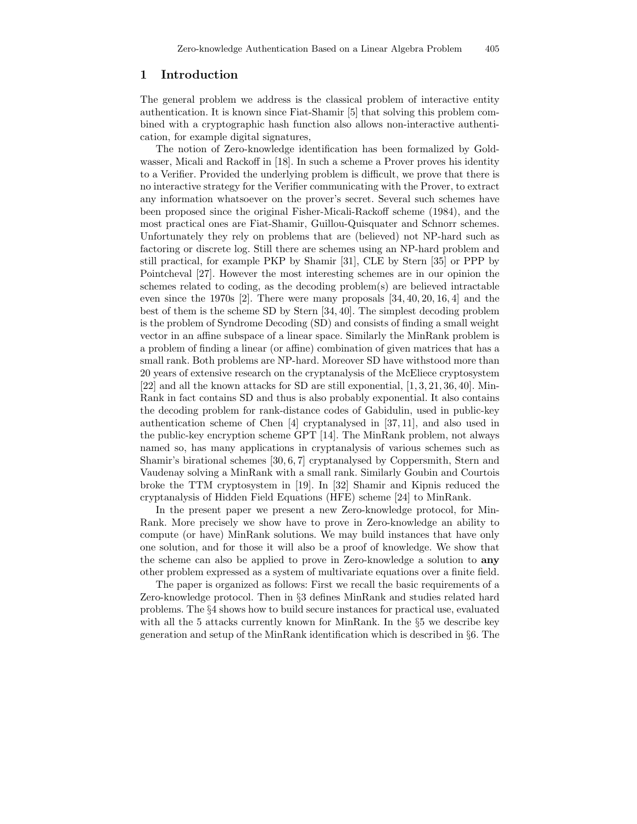# 1 Introduction

The general problem we address is the classical problem of interactive entity authentication. It is known since Fiat-Shamir [5] that solving this problem combined with a cryptographic hash function also allows non-interactive authentication, for example digital signatures,

The notion of Zero-knowledge identification has been formalized by Goldwasser, Micali and Rackoff in [18]. In such a scheme a Prover proves his identity to a Verifier. Provided the underlying problem is difficult, we prove that there is no interactive strategy for the Verifier communicating with the Prover, to extract any information whatsoever on the prover's secret. Several such schemes have been proposed since the original Fisher-Micali-Rackoff scheme (1984), and the most practical ones are Fiat-Shamir, Guillou-Quisquater and Schnorr schemes. Unfortunately they rely on problems that are (believed) not NP-hard such as factoring or discrete log. Still there are schemes using an NP-hard problem and still practical, for example PKP by Shamir [31], CLE by Stern [35] or PPP by Pointcheval [27]. However the most interesting schemes are in our opinion the schemes related to coding, as the decoding problem(s) are believed intractable even since the 1970s [2]. There were many proposals [34, 40, 20, 16, 4] and the best of them is the scheme SD by Stern [34, 40]. The simplest decoding problem is the problem of Syndrome Decoding (SD) and consists of finding a small weight vector in an affine subspace of a linear space. Similarly the MinRank problem is a problem of finding a linear (or affine) combination of given matrices that has a small rank. Both problems are NP-hard. Moreover SD have withstood more than 20 years of extensive research on the cryptanalysis of the McEliece cryptosystem [22] and all the known attacks for SD are still exponential, [1, 3, 21, 36, 40]. Min-Rank in fact contains SD and thus is also probably exponential. It also contains the decoding problem for rank-distance codes of Gabidulin, used in public-key authentication scheme of Chen [4] cryptanalysed in [37, 11], and also used in the public-key encryption scheme GPT [14]. The MinRank problem, not always named so, has many applications in cryptanalysis of various schemes such as Shamir's birational schemes [30, 6, 7] cryptanalysed by Coppersmith, Stern and Vaudenay solving a MinRank with a small rank. Similarly Goubin and Courtois broke the TTM cryptosystem in [19]. In [32] Shamir and Kipnis reduced the cryptanalysis of Hidden Field Equations (HFE) scheme [24] to MinRank.

In the present paper we present a new Zero-knowledge protocol, for Min-Rank. More precisely we show have to prove in Zero-knowledge an ability to compute (or have) MinRank solutions. We may build instances that have only one solution, and for those it will also be a proof of knowledge. We show that the scheme can also be applied to prove in Zero-knowledge a solution to any other problem expressed as a system of multivariate equations over a finite field.

The paper is organized as follows: First we recall the basic requirements of a Zero-knowledge protocol. Then in §3 defines MinRank and studies related hard problems. The §4 shows how to build secure instances for practical use, evaluated with all the 5 attacks currently known for MinRank. In the §5 we describe key generation and setup of the MinRank identification which is described in §6. The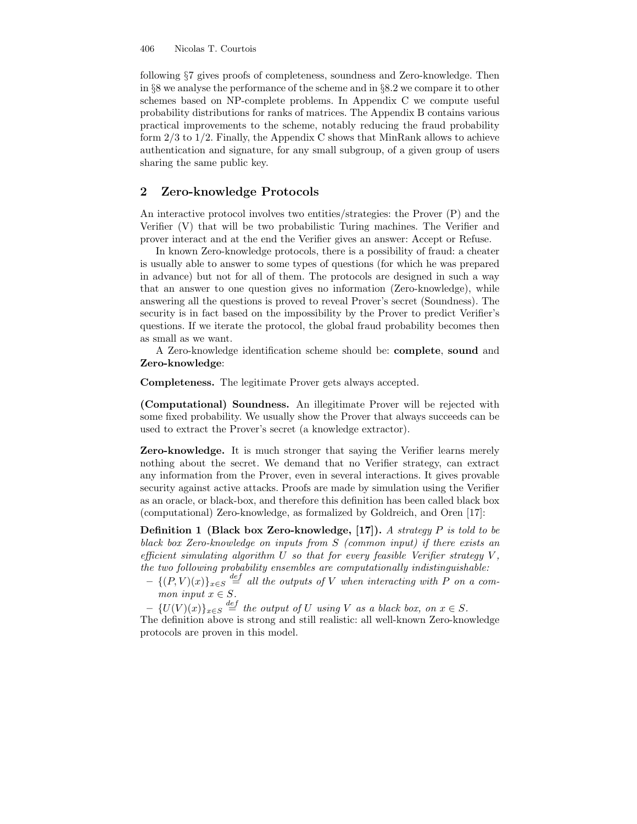following §7 gives proofs of completeness, soundness and Zero-knowledge. Then in §8 we analyse the performance of the scheme and in §8.2 we compare it to other schemes based on NP-complete problems. In Appendix C we compute useful probability distributions for ranks of matrices. The Appendix B contains various practical improvements to the scheme, notably reducing the fraud probability form 2/3 to 1/2. Finally, the Appendix C shows that MinRank allows to achieve authentication and signature, for any small subgroup, of a given group of users sharing the same public key.

# 2 Zero-knowledge Protocols

An interactive protocol involves two entities/strategies: the Prover (P) and the Verifier (V) that will be two probabilistic Turing machines. The Verifier and prover interact and at the end the Verifier gives an answer: Accept or Refuse.

In known Zero-knowledge protocols, there is a possibility of fraud: a cheater is usually able to answer to some types of questions (for which he was prepared in advance) but not for all of them. The protocols are designed in such a way that an answer to one question gives no information (Zero-knowledge), while answering all the questions is proved to reveal Prover's secret (Soundness). The security is in fact based on the impossibility by the Prover to predict Verifier's questions. If we iterate the protocol, the global fraud probability becomes then as small as we want.

A Zero-knowledge identification scheme should be: complete, sound and Zero-knowledge:

Completeness. The legitimate Prover gets always accepted.

(Computational) Soundness. An illegitimate Prover will be rejected with some fixed probability. We usually show the Prover that always succeeds can be used to extract the Prover's secret (a knowledge extractor).

Zero-knowledge. It is much stronger that saying the Verifier learns merely nothing about the secret. We demand that no Verifier strategy, can extract any information from the Prover, even in several interactions. It gives provable security against active attacks. Proofs are made by simulation using the Verifier as an oracle, or black-box, and therefore this definition has been called black box (computational) Zero-knowledge, as formalized by Goldreich, and Oren [17]:

**Definition 1** (Black box Zero-knowledge, [17]). A strategy  $P$  is told to be black box Zero-knowledge on inputs from S (common input) if there exists an efficient simulating algorithm  $U$  so that for every feasible Verifier strategy  $V$ , the two following probability ensembles are computationally indistinguishable:

 $- \{(P,V)(x)\}_{x\in S} \stackrel{def}{=}$  all the outputs of V when interacting with P on a common input  $x \in S$ .

 $-\{U(V)(x)\}_{x\in S}$ <sup>def</sup> the output of U using V as a black box, on  $x\in S$ .

The definition above is strong and still realistic: all well-known Zero-knowledge protocols are proven in this model.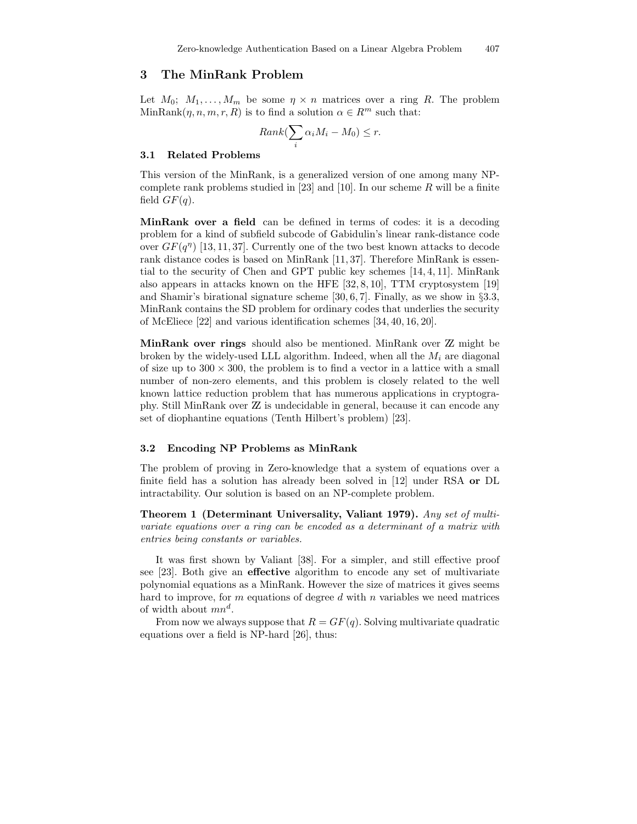### 3 The MinRank Problem

Let  $M_0$ ;  $M_1, \ldots, M_m$  be some  $\eta \times n$  matrices over a ring R. The problem  $\text{MinRank}(n, n, m, r, R)$  is to find a solution  $\alpha \in R^m$  such that:

$$
Rank(\sum_{i}\alpha_{i}M_{i}-M_{0})\leq r.
$$

#### 3.1 Related Problems

This version of the MinRank, is a generalized version of one among many NPcomplete rank problems studied in  $[23]$  and  $[10]$ . In our scheme R will be a finite field  $GF(q)$ .

MinRank over a field can be defined in terms of codes: it is a decoding problem for a kind of subfield subcode of Gabidulin's linear rank-distance code over  $GF(q^{\eta})$  [13, 11, 37]. Currently one of the two best known attacks to decode rank distance codes is based on MinRank [11, 37]. Therefore MinRank is essential to the security of Chen and GPT public key schemes [14, 4, 11]. MinRank also appears in attacks known on the HFE [32, 8, 10], TTM cryptosystem [19] and Shamir's birational signature scheme [30, 6, 7]. Finally, as we show in §3.3, MinRank contains the SD problem for ordinary codes that underlies the security of McEliece [22] and various identification schemes [34, 40, 16, 20].

MinRank over rings should also be mentioned. MinRank over  $Z$  might be broken by the widely-used LLL algorithm. Indeed, when all the  $M_i$  are diagonal of size up to  $300 \times 300$ , the problem is to find a vector in a lattice with a small number of non-zero elements, and this problem is closely related to the well known lattice reduction problem that has numerous applications in cryptography. Still MinRank over  $\mathbb Z$  is undecidable in general, because it can encode any set of diophantine equations (Tenth Hilbert's problem) [23].

#### 3.2 Encoding NP Problems as MinRank

The problem of proving in Zero-knowledge that a system of equations over a finite field has a solution has already been solved in [12] under RSA or DL intractability. Our solution is based on an NP-complete problem.

Theorem 1 (Determinant Universality, Valiant 1979). Any set of multivariate equations over a ring can be encoded as a determinant of a matrix with entries being constants or variables.

It was first shown by Valiant [38]. For a simpler, and still effective proof see [23]. Both give an effective algorithm to encode any set of multivariate polynomial equations as a MinRank. However the size of matrices it gives seems hard to improve, for m equations of degree d with n variables we need matrices of width about  $mn^d$ .

From now we always suppose that  $R = GF(q)$ . Solving multivariate quadratic equations over a field is NP-hard [26], thus: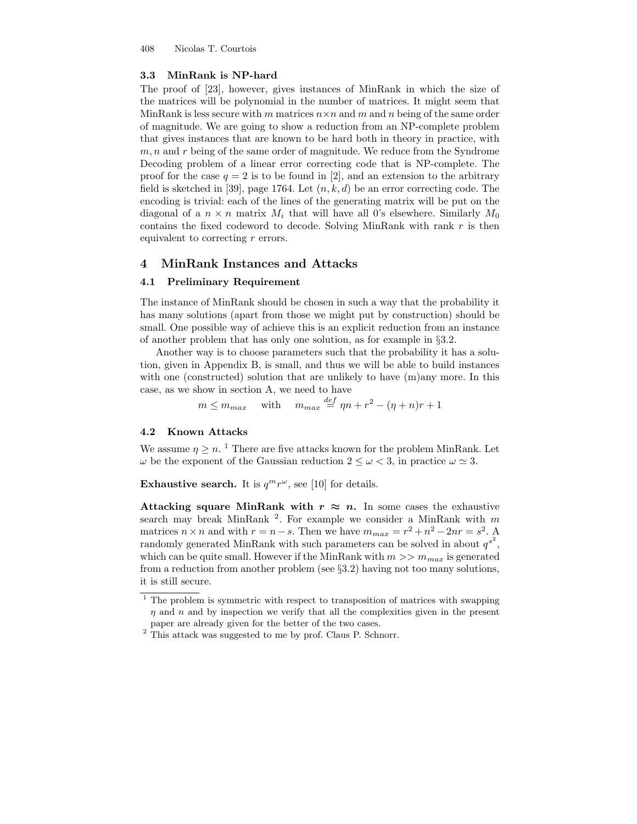408 Nicolas T. Courtois

### 3.3 MinRank is NP-hard

The proof of [23], however, gives instances of MinRank in which the size of the matrices will be polynomial in the number of matrices. It might seem that MinRank is less secure with m matrices  $n \times n$  and m and n being of the same order of magnitude. We are going to show a reduction from an NP-complete problem that gives instances that are known to be hard both in theory in practice, with  $m, n$  and r being of the same order of magnitude. We reduce from the Syndrome Decoding problem of a linear error correcting code that is NP-complete. The proof for the case  $q = 2$  is to be found in [2], and an extension to the arbitrary field is sketched in [39], page 1764. Let  $(n, k, d)$  be an error correcting code. The encoding is trivial: each of the lines of the generating matrix will be put on the diagonal of a  $n \times n$  matrix  $M_i$  that will have all 0's elsewhere. Similarly  $M_0$ contains the fixed codeword to decode. Solving MinRank with rank  $r$  is then equivalent to correcting  $r$  errors.

# 4 MinRank Instances and Attacks

#### 4.1 Preliminary Requirement

The instance of MinRank should be chosen in such a way that the probability it has many solutions (apart from those we might put by construction) should be small. One possible way of achieve this is an explicit reduction from an instance of another problem that has only one solution, as for example in  $\S 3.2$ .

Another way is to choose parameters such that the probability it has a solution, given in Appendix B, is small, and thus we will be able to build instances with one (constructed) solution that are unlikely to have  $(m)$ any more. In this case, as we show in section A, we need to have

$$
m \leq m_{max}
$$
 with  $m_{max} \stackrel{def}{=} \eta n + r^2 - (\eta + n)r + 1$ 

### 4.2 Known Attacks

We assume  $\eta \geq n$ .<sup>1</sup> There are five attacks known for the problem MinRank. Let  $\omega$  be the exponent of the Gaussian reduction  $2 \leq \omega < 3$ , in practice  $\omega \simeq 3$ .

Exhaustive search. It is  $q^m r^{\omega}$ , see [10] for details.

Attacking square MinRank with  $r \approx n$ . In some cases the exhaustive search may break MinRank<sup>2</sup>. For example we consider a MinRank with  $m$ matrices  $n \times n$  and with  $r = n - s$ . Then we have  $m_{max} = r^2 + n^2 - 2nr = s^2$ . A randomly generated MinRank with such parameters can be solved in about  $q^{s^2}$ , which can be quite small. However if the MinRank with  $m >> m_{max}$  is generated from a reduction from another problem (see §3.2) having not too many solutions, it is still secure.

 $^{\rm 1}$  The problem is symmetric with respect to transposition of matrices with swapping  $\eta$  and n and by inspection we verify that all the complexities given in the present paper are already given for the better of the two cases.

<sup>&</sup>lt;sup>2</sup> This attack was suggested to me by prof. Claus P. Schnorr.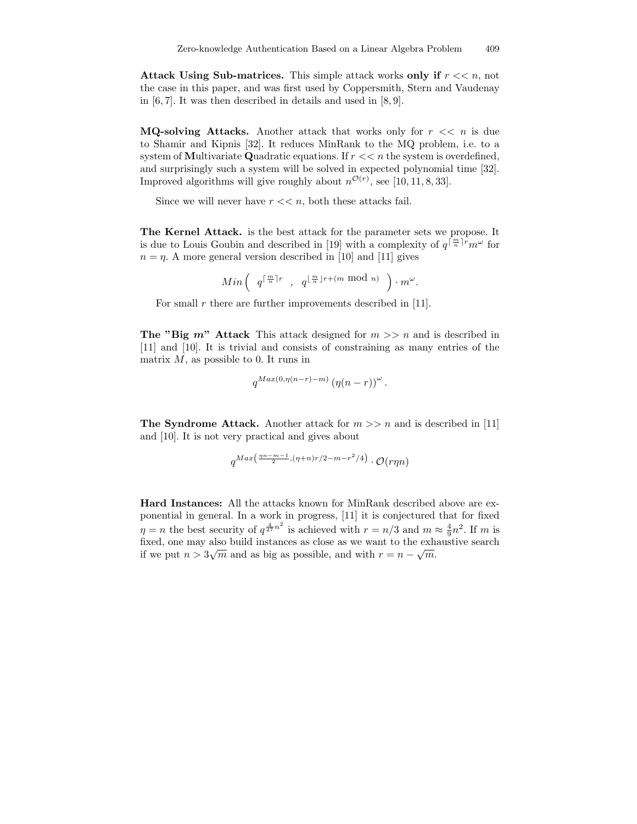Attack Using Sub-matrices. This simple attack works only if  $r \ll n$ , not the case in this paper, and was first used by Coppersmith, Stern and Vaudenay in [6, 7]. It was then described in details and used in [8, 9].

**MQ-solving Attacks.** Another attack that works only for  $r \ll n$  is due to Shamir and Kipnis [32]. It reduces MinRank to the MQ problem, i.e. to a system of Multivariate Quadratic equations. If  $r \ll n$  the system is overdefined, and surprisingly such a system will be solved in expected polynomial time [32]. Improved algorithms will give roughly about  $n^{\mathcal{O}(r)}$ , see [10, 11, 8, 33].

Since we will never have  $r \ll n$ , both these attacks fail.

The Kernel Attack. is the best attack for the parameter sets we propose. It is due to Louis Goubin and described in [19] with a complexity of  $q^{\lceil \frac{m}{n} \rceil \tau} m^{\omega}$  for  $n = \eta$ . A more general version described in [10] and [11] gives

$$
Min\left(\begin{array}{cc}q^{\lceil\frac{m}{n}\rceil r}\end{array},\begin{array}{cc}q^{\lfloor\frac{m}{n}\rfloor r + (m \bmod n)}\end{array}\right)\cdot m^\omega.
$$

For small  $r$  there are further improvements described in [11].

**The "Big m" Attack** This attack designed for  $m \gg n$  and is described in [11] and [10]. It is trivial and consists of constraining as many entries of the matrix  $M$ , as possible to 0. It runs in

$$
q^{Max(0,\eta(n-r)-m)}(\eta(n-r))^{\omega}.
$$

**The Syndrome Attack.** Another attack for  $m \gg n$  and is described in [11] and [10]. It is not very practical and gives about

$$
q^{Max\left(\frac{\eta n-m-1}{2},(\eta+n)r/2-m-r^2/4\right)} \cdot \mathcal{O}(r\eta n)
$$

Hard Instances: All the attacks known for MinRank described above are exponential in general. In a work in progress, [11] it is conjectured that for fixed  $\eta = n$  the best security of  $q^{\frac{4}{27}n^2}$  is achieved with  $r = n/3$  and  $m \approx \frac{4}{9}n^2$ . If m is fixed, one may also build instances as close as we want to the exhaustive search if we put  $n > 3\sqrt{m}$  and as big as possible, and with  $r = n - \sqrt{m}$ .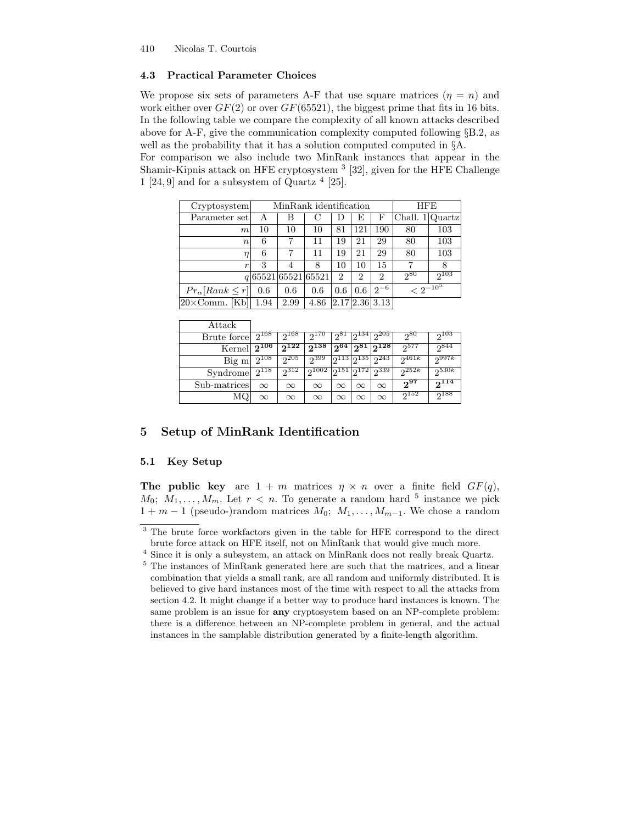#### 410 Nicolas T. Courtois

#### 4.3 Practical Parameter Choices

We propose six sets of parameters A-F that use square matrices  $(\eta = n)$  and work either over  $GF(2)$  or over  $GF(65521)$ , the biggest prime that fits in 16 bits. In the following table we compare the complexity of all known attacks described above for A-F, give the communication complexity computed following  $\S$ B.2, as well as the probability that it has a solution computed computed in §A. For comparison we also include two MinRank instances that appear in the

Shamir-Kipnis attack on HFE cryptosystem <sup>3</sup> [32], given for the HFE Challenge  $1 [24, 9]$  and for a subsystem of Quartz<sup>4</sup> [25].

| Cryptosystem               |                   | MinRank identification | <b>HFE</b> |     |           |           |                 |           |
|----------------------------|-------------------|------------------------|------------|-----|-----------|-----------|-----------------|-----------|
| Parameter set              | А                 | В                      |            |     | Е         | F         | Chall. 1 Quartz |           |
| m                          | 10                | 10                     | 10         | 81  | 121       | 190       | 80              | 103       |
| $\boldsymbol{n}$           | 6                 |                        | 11         | 19  | 21        | 29        | 80              | 103       |
| η                          | 6                 |                        | 11         | 19  | 21        | 29        | 80              | 103       |
| $\boldsymbol{r}$           | 3                 | 4                      | 8          | 10  | 10        | 15        |                 | 8         |
|                            | 65521 65521 65521 |                        |            | 2   | 2         | 2         | 280             | $2^{103}$ |
| $Pr_{\alpha}[Rank \leq r]$ | 0.6               | 0.6                    | 0.6        | 0.6 | 0.6       | $12^{-6}$ | $< 2^{-10^5}$   |           |
| $20\times$ Comm. [Kb]      | 1.94              | 2.99                   | 4.86       |     | 2.17 2.36 | 3.13      |                 |           |

| $\rm Attack$ |           |                    |            |                     |          |                 |               |            |
|--------------|-----------|--------------------|------------|---------------------|----------|-----------------|---------------|------------|
| Brute force  | $2^{168}$ | പ്ര8               | o tro      | റ∘                  |          | 205             | റ്റ്          | $2^{103}$  |
| Kernel       | $2^{106}$ | $2^{122}$          | $2^{138}$  | $2^{64}$            |          | $2^{81}2^{128}$ | ე577          | 2844       |
| Big m        | $2^{108}$ | $\Omega_{0}^{205}$ | ი399       | $2^{113}$ $2^{135}$ |          | $2^{243}$       | $\Omega$ 461k | $2^{997k}$ |
| Syndrome     | $2^{118}$ | ი312               | $2^{1002}$ | 2151                | 0.172    | $9^{339}$       | 252k          | $2^{530k}$ |
| Sub-matrices | $\infty$  | $\infty$           | $\infty$   | $\infty$            | $\infty$ | $\infty$        | $2^{9}$       | $2^{114}$  |
|              | $\infty$  | $\infty$           | $\infty$   | $\infty$            | $\infty$ | $\infty$        | $2^{152}$     | പ88        |

# 5 Setup of MinRank Identification

### 5.1 Key Setup

The public key are  $1 + m$  matrices  $\eta \times n$  over a finite field  $GF(q)$ ,  $M_0$ ;  $M_1, \ldots, M_m$ . Let  $r < n$ . To generate a random hard <sup>5</sup> instance we pick  $1 + m - 1$  (pseudo-)random matrices  $M_0$ ;  $M_1, \ldots, M_{m-1}$ . We chose a random

<sup>&</sup>lt;sup>3</sup> The brute force workfactors given in the table for HFE correspond to the direct brute force attack on HFE itself, not on MinRank that would give much more.

 $^4$  Since it is only a subsystem, an attack on MinRank does not really break Quartz.

<sup>&</sup>lt;sup>5</sup> The instances of MinRank generated here are such that the matrices, and a linear combination that yields a small rank, are all random and uniformly distributed. It is believed to give hard instances most of the time with respect to all the attacks from section 4.2. It might change if a better way to produce hard instances is known. The same problem is an issue for any cryptosystem based on an NP-complete problem: there is a difference between an NP-complete problem in general, and the actual instances in the samplable distribution generated by a finite-length algorithm.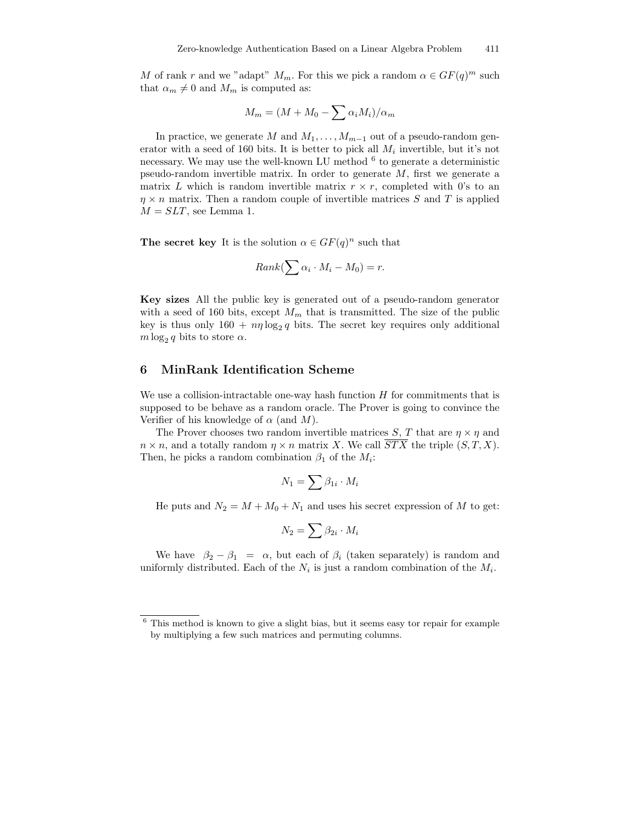M of rank r and we "adapt"  $M_m$ . For this we pick a random  $\alpha \in GF(q)^m$  such that  $\alpha_m \neq 0$  and  $M_m$  is computed as:

$$
M_m = (M + M_0 - \sum \alpha_i M_i) / \alpha_m
$$

In practice, we generate M and  $M_1, \ldots, M_{m-1}$  out of a pseudo-random generator with a seed of 160 bits. It is better to pick all  $M_i$  invertible, but it's not necessary. We may use the well-known LU method <sup>6</sup> to generate a deterministic pseudo-random invertible matrix. In order to generate  $M$ , first we generate a matrix L which is random invertible matrix  $r \times r$ , completed with 0's to an  $\eta \times n$  matrix. Then a random couple of invertible matrices S and T is applied  $M = SLT$ , see Lemma 1.

**The secret key** It is the solution  $\alpha \in GF(q)^n$  such that

$$
Rank(\sum \alpha_i \cdot M_i - M_0) = r.
$$

Key sizes All the public key is generated out of a pseudo-random generator with a seed of 160 bits, except  $M_m$  that is transmitted. The size of the public key is thus only  $160 + n\eta \log_2 q$  bits. The secret key requires only additional  $m \log_2 q$  bits to store  $\alpha$ .

### 6 MinRank Identification Scheme

We use a collision-intractable one-way hash function  $H$  for commitments that is supposed to be behave as a random oracle. The Prover is going to convince the Verifier of his knowledge of  $\alpha$  (and M).

The Prover chooses two random invertible matrices S, T that are  $\eta \times \eta$  and  $n \times n$ , and a totally random  $\eta \times n$  matrix X. We call  $\overline{STX}$  the triple  $(S, T, X)$ . Then, he picks a random combination  $\beta_1$  of the  $M_i$ :

$$
N_1=\sum \beta_{1i}\cdot M_i
$$

He puts and  $N_2 = M + M_0 + N_1$  and uses his secret expression of M to get:

$$
N_2 = \sum \beta_{2i} \cdot M_i
$$

We have  $\beta_2 - \beta_1 = \alpha$ , but each of  $\beta_i$  (taken separately) is random and uniformly distributed. Each of the  $N_i$  is just a random combination of the  $M_i$ .

 $6$  This method is known to give a slight bias, but it seems easy tor repair for example by multiplying a few such matrices and permuting columns.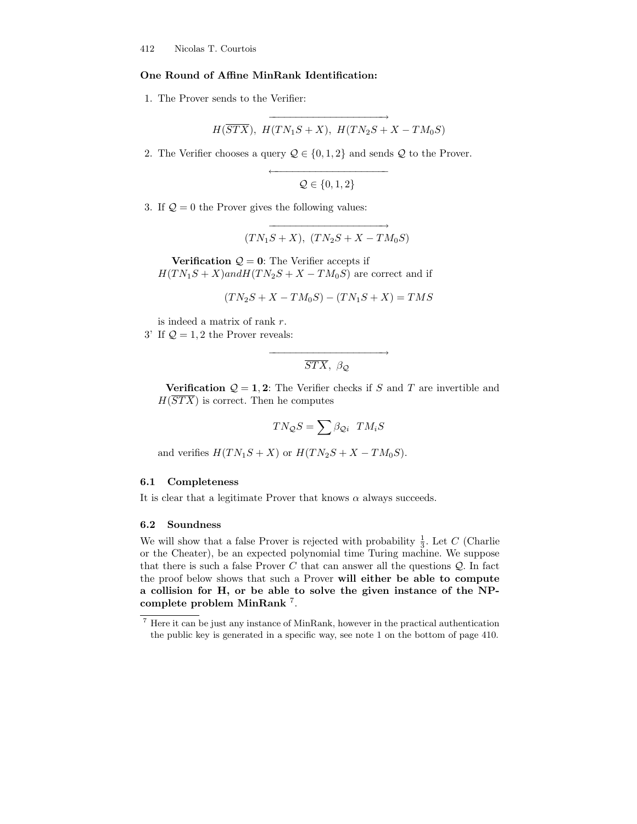#### One Round of Affine MinRank Identification:

1. The Prover sends to the Verifier:

$$
H(\overrightarrow{STX}), H(TN_1S + X), H(TN_2S + X - TM_0S)
$$

2. The Verifier chooses a query  $\mathcal{Q} \in \{0, 1, 2\}$  and sends  $\mathcal Q$  to the Prover.

$$
\overbrace{\mathcal{Q} \in \{0,1,2\}}
$$

3. If  $\mathcal{Q} = 0$  the Prover gives the following values:

$$
(TN_1S + X), (TN_2S + X - TM_0S)
$$

**Verification**  $Q = 0$ : The Verifier accepts if  $H(T N_1 S + X)$ and $H(T N_2 S + X - T M_0 S)$  are correct and if

$$
(TN_2S + X - TM_0S) - (TN_1S + X) = TMS
$$

is indeed a matrix of rank r. 3' If  $\mathcal{Q} = 1, 2$  the Prover reveals:

$$
\overrightarrow{STX}, \overrightarrow{\beta_{\mathcal{Q}}}
$$

**Verification**  $Q = 1, 2$ : The Verifier checks if S and T are invertible and  $H(\overline{STX})$  is correct. Then he computes

$$
TN_{\mathcal{Q}}S = \sum \beta_{\mathcal{Q}i} \; TM_iS
$$

and verifies  $H(T N_1 S + X)$  or  $H(T N_2 S + X - T M_0 S)$ .

#### 6.1 Completeness

It is clear that a legitimate Prover that knows  $\alpha$  always succeeds.

#### 6.2 Soundness

We will show that a false Prover is rejected with probability  $\frac{1}{3}$ . Let C (Charlie or the Cheater), be an expected polynomial time Turing machine. We suppose that there is such a false Prover  $C$  that can answer all the questions  $Q$ . In fact the proof below shows that such a Prover will either be able to compute a collision for H, or be able to solve the given instance of the NPcomplete problem MinRank <sup>7</sup> .

 $^7$  Here it can be just any instance of MinRank, however in the practical authentication the public key is generated in a specific way, see note 1 on the bottom of page 410.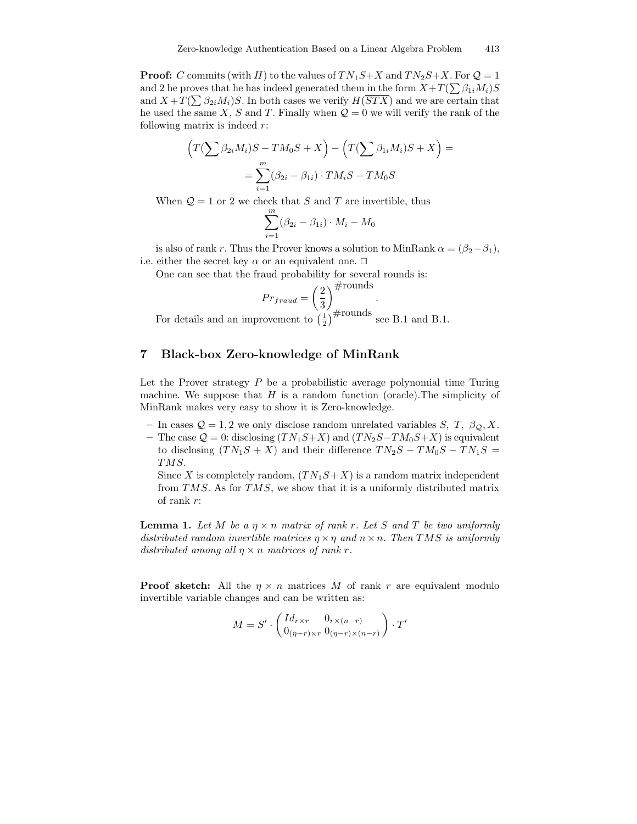**Proof:** C commits (with H) to the values of  $TN_1S+X$  and  $TN_2S+X$ . For  $Q=1$ and 2 he proves that he has indeed generated them in the form  $X+T(\sum \beta_{1i}M_i)S$ and  $X+T(\sum \beta_{2i}M_i)S$ . In both cases we verify  $H(STX)$  and we are certain that he used the same X, S and T. Finally when  $\mathcal{Q} = 0$  we will verify the rank of the following matrix is indeed  $r$ :

$$
\left(T(\sum \beta_{2i}M_i)S - TM_0S + X\right) - \left(T(\sum \beta_{1i}M_i)S + X\right) =
$$
  
= 
$$
\sum_{i=1}^m (\beta_{2i} - \beta_{1i}) \cdot TM_iS - TM_0S
$$

When  $Q = 1$  or 2 we check that S and T are invertible, thus

$$
\sum_{i=1}^{m} (\beta_{2i} - \beta_{1i}) \cdot M_i - M_0
$$

is also of rank r. Thus the Prover knows a solution to MinRank  $\alpha = (\beta_2 - \beta_1)$ , i.e. either the secret key  $\alpha$  or an equivalent one.  $\square$ 

.

One can see that the fraud probability for several rounds is:

$$
Pr_{fraud} = \left(\frac{2}{3}\right)^{\#rounds}_{\#rounds}
$$

For details and an improvement to  $\left(\frac{1}{2}\right)$ #rounds see B.1 and B.1.

# 7 Black-box Zero-knowledge of MinRank

Let the Prover strategy  $P$  be a probabilistic average polynomial time Turing machine. We suppose that  $H$  is a random function (oracle). The simplicity of MinRank makes very easy to show it is Zero-knowledge.

- In cases  $Q = 1, 2$  we only disclose random unrelated variables S, T,  $\beta_{Q}$ , X.
- The case  $Q = 0$ : disclosing  $(T N_1 S + X)$  and  $(T N_2 S T M_0 S + X)$  is equivalent to disclosing  $(T N_1 S + X)$  and their difference  $T N_2 S - T M_0 S - T N_1 S =$ TMS.

Since X is completely random,  $(T N_1 S + X)$  is a random matrix independent from TMS. As for TMS, we show that it is a uniformly distributed matrix of rank r:

**Lemma 1.** Let M be a  $\eta \times n$  matrix of rank r. Let S and T be two uniformly distributed random invertible matrices  $\eta \times \eta$  and  $n \times n$ . Then TMS is uniformly distributed among all  $\eta \times n$  matrices of rank r.

**Proof sketch:** All the  $\eta \times n$  matrices M of rank r are equivalent modulo invertible variable changes and can be written as:

$$
M = S' \cdot \begin{pmatrix} Id_{r \times r} & 0_{r \times (n-r)} \\ 0_{(n-r) \times r} & 0_{(n-r) \times (n-r)} \end{pmatrix} \cdot T'
$$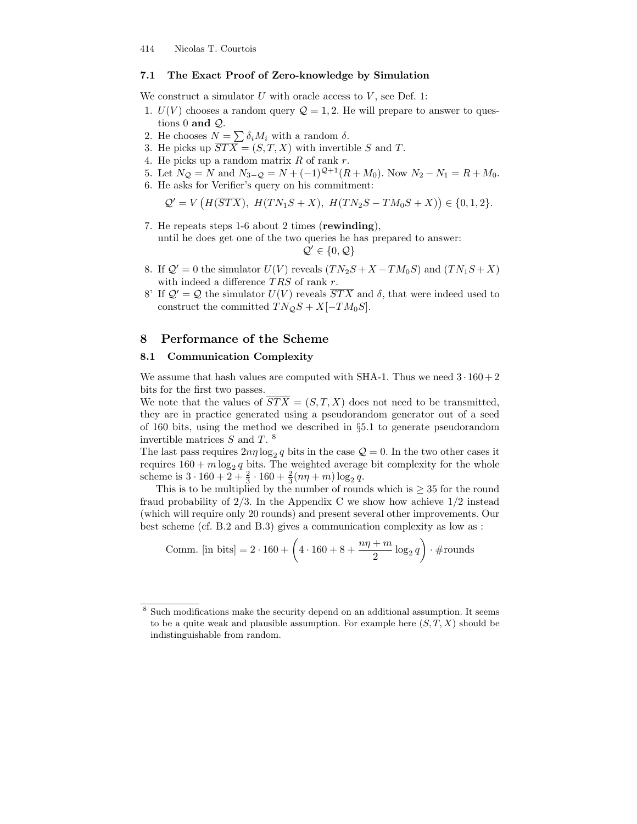#### 7.1 The Exact Proof of Zero-knowledge by Simulation

We construct a simulator  $U$  with oracle access to  $V$ , see Def. 1:

- 1.  $U(V)$  chooses a random query  $\mathcal{Q} = 1, 2$ . He will prepare to answer to questions 0 and  $\mathcal{Q}$ .
- 2. He chooses  $N = \sum \delta_i M_i$  with a random  $\delta$ .
- 3. He picks up  $STX = (S, T, X)$  with invertible S and T.
- 4. He picks up a random matrix  $R$  of rank  $r$ .

5. Let 
$$
N_Q = N
$$
 and  $N_{3-Q} = N + (-1)^{Q+1}(R + M_0)$ . Now  $N_2 - N_1 = R + M_0$ .

6. He asks for Verifier's query on his commitment:

$$
\mathcal{Q}' = V\left(H(\overline{STX}), H(TN_1S + X), H(TN_2S - TM_0S + X)\right) \in \{0, 1, 2\}.
$$

- 7. He repeats steps 1-6 about 2 times (rewinding), until he does get one of the two queries he has prepared to answer:  $\mathcal{Q}' \in \{0, \mathcal{Q}\}$
- 8. If  $\mathcal{Q}' = 0$  the simulator  $U(V)$  reveals  $(T N_2 S + X T M_0 S)$  and  $(T N_1 S + X)$ with indeed a difference  $TRS$  of rank  $r$ .
- 8' If  $\mathcal{Q}' = \mathcal{Q}$  the simulator  $U(V)$  reveals  $\overline{STX}$  and  $\delta$ , that were indeed used to construct the committed  $TN_{\mathcal{Q}}S + X[-TM_0S]$ .

# 8 Performance of the Scheme

### 8.1 Communication Complexity

We assume that hash values are computed with SHA-1. Thus we need  $3 \cdot 160 + 2$ bits for the first two passes.

We note that the values of  $\overline{STX} = (S, T, X)$  does not need to be transmitted, they are in practice generated using a pseudorandom generator out of a seed of 160 bits, using the method we described in §5.1 to generate pseudorandom invertible matrices  $S$  and  $T$ .<sup>8</sup>

The last pass requires  $2n\eta \log_2 q$  bits in the case  $\mathcal{Q} = 0$ . In the two other cases it requires  $160 + m \log_2 q$  bits. The weighted average bit complexity for the whole scheme is  $3 \cdot 160 + 2 + \frac{2}{3} \cdot 160 + \frac{2}{3} (n\eta + m) \log_2 q$ .

This is to be multiplied by the number of rounds which is  $\geq$  35 for the round fraud probability of  $2/3$ . In the Appendix C we show how achieve  $1/2$  instead (which will require only 20 rounds) and present several other improvements. Our best scheme (cf. B.2 and B.3) gives a communication complexity as low as :

$$
\text{Comm. [in bits]} = 2 \cdot 160 + \left(4 \cdot 160 + 8 + \frac{n\eta + m}{2} \log_2 q\right) \cdot \text{\#rounds}
$$

<sup>8</sup> Such modifications make the security depend on an additional assumption. It seems to be a quite weak and plausible assumption. For example here  $(S, T, X)$  should be indistinguishable from random.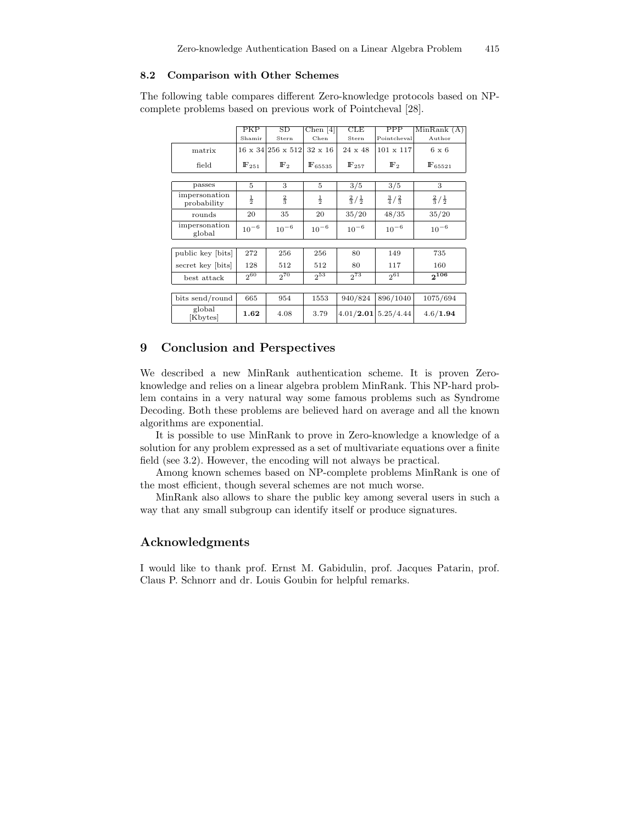#### 8.2 Comparison with Other Schemes

|                              | РКР                | SD                              | $Chen$  4        | $_{\rm CLE}$                  | PPP                           | MinRank(A)                    |
|------------------------------|--------------------|---------------------------------|------------------|-------------------------------|-------------------------------|-------------------------------|
|                              | Shamir             | Stern                           | Chen             | Stern                         | Pointcheval                   | Author                        |
| matrix                       |                    | $16 \times 34$ 256 $\times$ 512 | $32 \times 16$   | $24 \times 48$                | $101 \times 117$              | $6 \times 6$                  |
| field                        | $\mathbb{F}_{251}$ | $\mathbb{F}_2$                  | $\rm{F}_{65535}$ | $\mathbb{F}_{257}$            | $\mathbb{F}_2$                | $\mathbb{F}_{65521}$          |
|                              |                    |                                 |                  |                               |                               |                               |
| passes                       | 5                  | 3                               | 5                | 3/5                           | 3/5                           | 3                             |
| impersonation<br>probability | $\frac{1}{2}$      | $\frac{2}{3}$                   | $\frac{1}{2}$    | $\frac{2}{3}$ / $\frac{1}{2}$ | $\frac{3}{4}$ / $\frac{2}{3}$ | $\frac{2}{3}$ / $\frac{1}{2}$ |
| rounds                       | 20                 | 35                              | 20               | 35/20                         | 48/35                         | 35/20                         |
| impersonation<br>global      | $10^{-6}$          | $10^{-6}$                       | $10^{-6}$        | $10^{-6}$                     | $10^{-6}$                     | $10^{-6}$                     |
|                              |                    |                                 |                  |                               |                               |                               |
| public key [bits]            | 272                | 256                             | 256              | 80                            | 149                           | 735                           |
| secret key [bits]            | 128                | 512                             | 512              | 80                            | 117                           | 160                           |
| best attack                  | $2^{60}$           | $2^{70}$                        | 253              | $2^{73}$                      | $2^{61}$                      | $2^{106}$                     |
|                              |                    |                                 |                  |                               |                               |                               |
| bits send/round              | 665                | 954                             | 1553             | 940/824                       | 896/1040                      | 1075/694                      |
| global<br>[Kbytes]           | 1.62               | 4.08                            | 3.79             | 4.01/2.01                     | 5.25/4.44                     | 4.6 / 1.94                    |

The following table compares different Zero-knowledge protocols based on NPcomplete problems based on previous work of Pointcheval [28].

# 9 Conclusion and Perspectives

We described a new MinRank authentication scheme. It is proven Zeroknowledge and relies on a linear algebra problem MinRank. This NP-hard problem contains in a very natural way some famous problems such as Syndrome Decoding. Both these problems are believed hard on average and all the known algorithms are exponential.

It is possible to use MinRank to prove in Zero-knowledge a knowledge of a solution for any problem expressed as a set of multivariate equations over a finite field (see 3.2). However, the encoding will not always be practical.

Among known schemes based on NP-complete problems MinRank is one of the most efficient, though several schemes are not much worse.

MinRank also allows to share the public key among several users in such a way that any small subgroup can identify itself or produce signatures.

# Acknowledgments

I would like to thank prof. Ernst M. Gabidulin, prof. Jacques Patarin, prof. Claus P. Schnorr and dr. Louis Goubin for helpful remarks.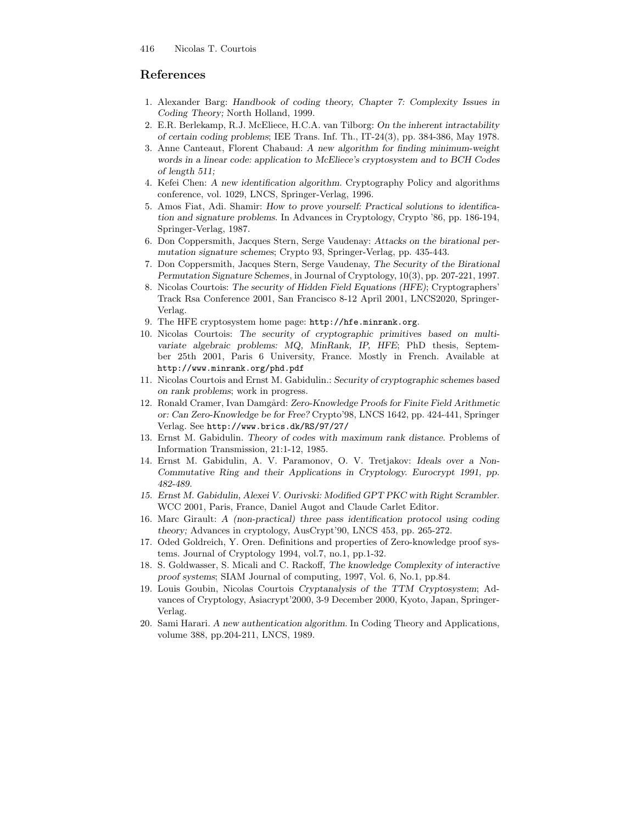# References

- 1. Alexander Barg: Handbook of coding theory, Chapter 7: Complexity Issues in Coding Theory; North Holland, 1999.
- 2. E.R. Berlekamp, R.J. McEliece, H.C.A. van Tilborg: On the inherent intractability of certain coding problems; IEE Trans. Inf. Th., IT-24(3), pp. 384-386, May 1978.
- 3. Anne Canteaut, Florent Chabaud: A new algorithm for finding minimum-weight words in a linear code: application to McEliece's cryptosystem and to BCH Codes of length 511;
- 4. Kefei Chen: A new identification algorithm. Cryptography Policy and algorithms conference, vol. 1029, LNCS, Springer-Verlag, 1996.
- 5. Amos Fiat, Adi. Shamir: How to prove yourself: Practical solutions to identification and signature problems. In Advances in Cryptology, Crypto '86, pp. 186-194, Springer-Verlag, 1987.
- 6. Don Coppersmith, Jacques Stern, Serge Vaudenay: Attacks on the birational permutation signature schemes; Crypto 93, Springer-Verlag, pp. 435-443.
- 7. Don Coppersmith, Jacques Stern, Serge Vaudenay, The Security of the Birational Permutation Signature Schemes, in Journal of Cryptology, 10(3), pp. 207-221, 1997.
- 8. Nicolas Courtois: The security of Hidden Field Equations (HFE); Cryptographers' Track Rsa Conference 2001, San Francisco 8-12 April 2001, LNCS2020, Springer-Verlag.
- 9. The HFE cryptosystem home page: http://hfe.minrank.org.
- 10. Nicolas Courtois: The security of cryptographic primitives based on multivariate algebraic problems: MQ, MinRank, IP, HFE; PhD thesis, September 25th 2001, Paris 6 University, France. Mostly in French. Available at http://www.minrank.org/phd.pdf
- 11. Nicolas Courtois and Ernst M. Gabidulin.: Security of cryptographic schemes based on rank problems; work in progress.
- 12. Ronald Cramer, Ivan Damgård: Zero-Knowledge Proofs for Finite Field Arithmetic or: Can Zero-Knowledge be for Free? Crypto'98, LNCS 1642, pp. 424-441, Springer Verlag. See http://www.brics.dk/RS/97/27/
- 13. Ernst M. Gabidulin. Theory of codes with maximum rank distance. Problems of Information Transmission, 21:1-12, 1985.
- 14. Ernst M. Gabidulin, A. V. Paramonov, O. V. Tretjakov: Ideals over a Non-Commutative Ring and their Applications in Cryptology. Eurocrypt 1991, pp. 482-489.
- 15. Ernst M. Gabidulin, Alexei V. Ourivski: Modified GPT PKC with Right Scrambler. WCC 2001, Paris, France, Daniel Augot and Claude Carlet Editor.
- 16. Marc Girault: A (non-practical) three pass identification protocol using coding theory; Advances in cryptology, AusCrypt'90, LNCS 453, pp. 265-272.
- 17. Oded Goldreich, Y. Oren. Definitions and properties of Zero-knowledge proof systems. Journal of Cryptology 1994, vol.7, no.1, pp.1-32.
- 18. S. Goldwasser, S. Micali and C. Rackoff, The knowledge Complexity of interactive proof systems; SIAM Journal of computing, 1997, Vol. 6, No.1, pp.84.
- 19. Louis Goubin, Nicolas Courtois Cryptanalysis of the TTM Cryptosystem; Advances of Cryptology, Asiacrypt'2000, 3-9 December 2000, Kyoto, Japan, Springer-Verlag.
- 20. Sami Harari. A new authentication algorithm. In Coding Theory and Applications, volume 388, pp.204-211, LNCS, 1989.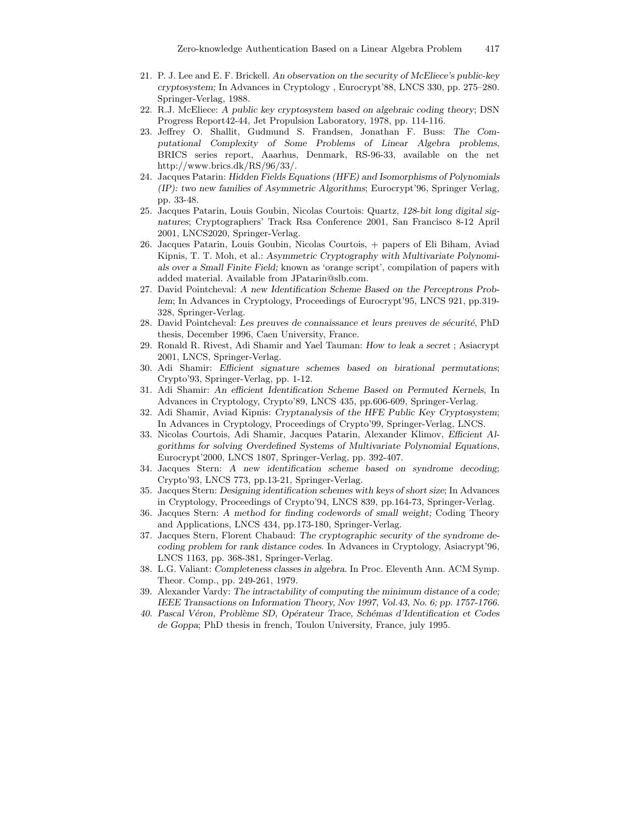- 21. P. J. Lee and E. F. Brickell. An observation on the security of McEliece's public-key cryptosystem; In Advances in Cryptology , Eurocrypt'88, LNCS 330, pp. 275–280. Springer-Verlag, 1988.
- 22. R.J. McEliece: A public key cryptosystem based on algebraic coding theory; DSN Progress Report42-44, Jet Propulsion Laboratory, 1978, pp. 114-116.
- 23. Jeffrey O. Shallit, Gudmund S. Frandsen, Jonathan F. Buss: The Computational Complexity of Some Problems of Linear Algebra problems, BRICS series report, Aaarhus, Denmark, RS-96-33, available on the net http://www.brics.dk/RS/96/33/.
- 24. Jacques Patarin: Hidden Fields Equations (HFE) and Isomorphisms of Polynomials (IP): two new families of Asymmetric Algorithms; Eurocrypt'96, Springer Verlag, pp. 33-48.
- 25. Jacques Patarin, Louis Goubin, Nicolas Courtois: Quartz, 128-bit long digital signatures; Cryptographers' Track Rsa Conference 2001, San Francisco 8-12 April 2001, LNCS2020, Springer-Verlag.
- 26. Jacques Patarin, Louis Goubin, Nicolas Courtois, + papers of Eli Biham, Aviad Kipnis, T. T. Moh, et al.: Asymmetric Cryptography with Multivariate Polynomials over a Small Finite Field; known as 'orange script', compilation of papers with added material. Available from JPatarin@slb.com.
- 27. David Pointcheval: A new Identification Scheme Based on the Perceptrons Problem; In Advances in Cryptology, Proceedings of Eurocrypt'95, LNCS 921, pp.319- 328, Springer-Verlag.
- 28. David Pointcheval: Les preuves de connaissance et leurs preuves de sécurité, PhD thesis, December 1996, Caen University, France.
- 29. Ronald R. Rivest, Adi Shamir and Yael Tauman: How to leak a secret ; Asiacrypt 2001, LNCS, Springer-Verlag.
- 30. Adi Shamir: Efficient signature schemes based on birational permutations; Crypto'93, Springer-Verlag, pp. 1-12.
- 31. Adi Shamir: An efficient Identification Scheme Based on Permuted Kernels, In Advances in Cryptology, Crypto'89, LNCS 435, pp.606-609, Springer-Verlag.
- 32. Adi Shamir, Aviad Kipnis: Cryptanalysis of the HFE Public Key Cryptosystem; In Advances in Cryptology, Proceedings of Crypto'99, Springer-Verlag, LNCS.
- 33. Nicolas Courtois, Adi Shamir, Jacques Patarin, Alexander Klimov, Efficient Algorithms for solving Overdefined Systems of Multivariate Polynomial Equations, Eurocrypt'2000, LNCS 1807, Springer-Verlag, pp. 392-407.
- 34. Jacques Stern: A new identification scheme based on syndrome decoding; Crypto'93, LNCS 773, pp.13-21, Springer-Verlag.
- 35. Jacques Stern: Designing identification schemes with keys of short size; In Advances in Cryptology, Proceedings of Crypto'94, LNCS 839, pp.164-73, Springer-Verlag.
- 36. Jacques Stern: A method for finding codewords of small weight; Coding Theory and Applications, LNCS 434, pp.173-180, Springer-Verlag.
- 37. Jacques Stern, Florent Chabaud: The cryptographic security of the syndrome decoding problem for rank distance codes. In Advances in Cryptology, Asiacrypt'96, LNCS 1163, pp. 368-381, Springer-Verlag.
- 38. L.G. Valiant: Completeness classes in algebra. In Proc. Eleventh Ann. ACM Symp. Theor. Comp., pp. 249-261, 1979.
- 39. Alexander Vardy: The intractability of computing the minimum distance of a code; IEEE Transactions on Information Theory, Nov 1997, Vol.43, No. 6; pp. 1757-1766.
- 40. Pascal Véron, Problème SD, Opérateur Trace, Schémas d'Identification et Codes de Goppa; PhD thesis in french, Toulon University, France, july 1995.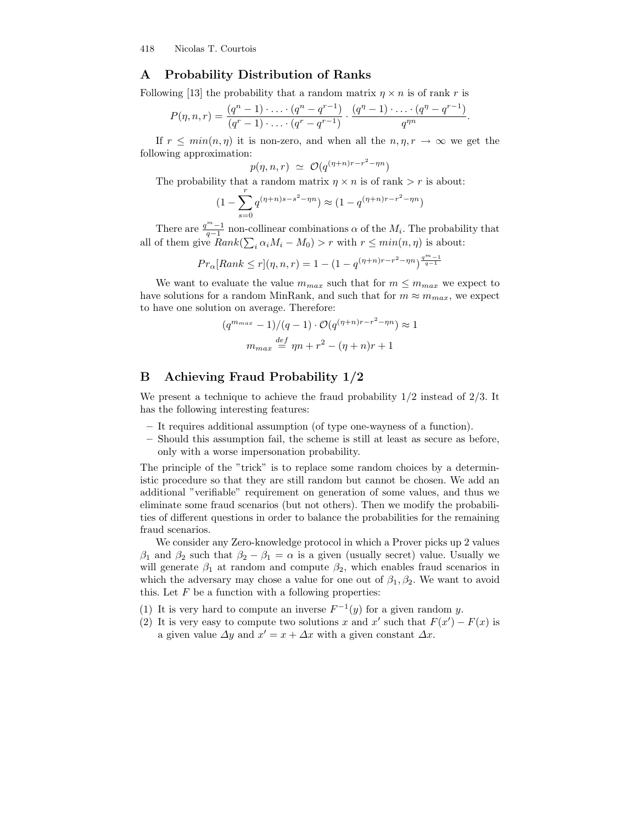418 Nicolas T. Courtois

# A Probability Distribution of Ranks

Following [13] the probability that a random matrix  $\eta \times n$  is of rank r is

$$
P(\eta, n, r) = \frac{(q^{n} - 1) \cdot \ldots \cdot (q^{n} - q^{r-1})}{(q^{r} - 1) \cdot \ldots \cdot (q^{r} - q^{r-1})} \cdot \frac{(q^{\eta} - 1) \cdot \ldots \cdot (q^{\eta} - q^{r-1})}{q^{\eta n}}
$$

.

If  $r \leq min(n, \eta)$  it is non-zero, and when all the  $n, \eta, r \to \infty$  we get the following approximation:

$$
p(\eta, n, r) \simeq \mathcal{O}(q^{(\eta + n)r - r^2 - \eta n})
$$

The probability that a random matrix  $\eta \times n$  is of rank  $> r$  is about:

$$
(1 - \sum_{s=0}^{r} q^{(\eta + n)s - s^2 - \eta n}) \approx (1 - q^{(\eta + n)r - r^2 - \eta n})
$$

There are  $\frac{q^m-1}{q-1}$  non-collinear combinations  $\alpha$  of the  $M_i$ . The probability that all of them give  $Rank(\sum_i \alpha_i M_i - M_0) > r$  with  $r \leq min(n, \eta)$  is about:

$$
Pr_{\alpha}[Rank \le r](\eta, n, r) = 1 - (1 - q^{(\eta + n)r - r^2 - \eta n})^{\frac{q^m - 1}{q - 1}}
$$

We want to evaluate the value  $m_{max}$  such that for  $m \leq m_{max}$  we expect to have solutions for a random MinRank, and such that for  $m \approx m_{max}$ , we expect to have one solution on average. Therefore:

$$
(q^{m_{max}} - 1)/(q - 1) \cdot \mathcal{O}(q^{(\eta + n)r - r^2 - \eta n}) \approx 1
$$

$$
m_{max} \stackrel{def}{=} \eta n + r^2 - (\eta + n)r + 1
$$

### B Achieving Fraud Probability 1/2

We present a technique to achieve the fraud probability  $1/2$  instead of  $2/3$ . It has the following interesting features:

- It requires additional assumption (of type one-wayness of a function).
- Should this assumption fail, the scheme is still at least as secure as before, only with a worse impersonation probability.

The principle of the "trick" is to replace some random choices by a deterministic procedure so that they are still random but cannot be chosen. We add an additional "verifiable" requirement on generation of some values, and thus we eliminate some fraud scenarios (but not others). Then we modify the probabilities of different questions in order to balance the probabilities for the remaining fraud scenarios.

We consider any Zero-knowledge protocol in which a Prover picks up 2 values  $β_1$  and  $β_2$  such that  $β_2 - β_1 = α$  is a given (usually secret) value. Usually we will generate  $\beta_1$  at random and compute  $\beta_2$ , which enables fraud scenarios in which the adversary may chose a value for one out of  $\beta_1, \beta_2$ . We want to avoid this. Let  $F$  be a function with a following properties:

- (1) It is very hard to compute an inverse  $F^{-1}(y)$  for a given random y.
- (2) It is very easy to compute two solutions x and x' such that  $F(x') F(x)$  is a given value  $\Delta y$  and  $x' = x + \Delta x$  with a given constant  $\Delta x$ .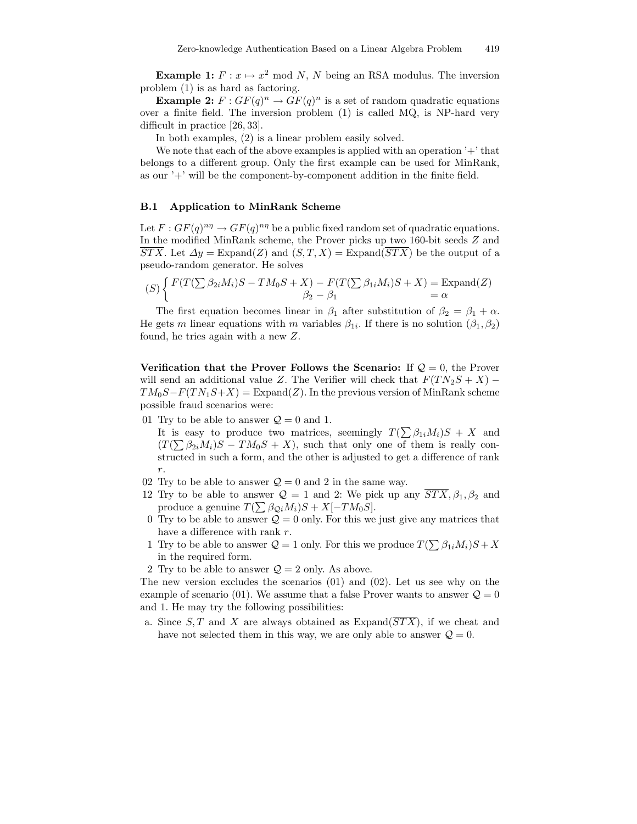**Example 1:**  $F: x \mapsto x^2 \mod N$ , N being an RSA modulus. The inversion problem (1) is as hard as factoring.

**Example 2:**  $F: GF(q)^n \to GF(q)^n$  is a set of random quadratic equations over a finite field. The inversion problem (1) is called MQ, is NP-hard very difficult in practice [26, 33].

In both examples, (2) is a linear problem easily solved.

We note that each of the above examples is applied with an operation  $+$  that belongs to a different group. Only the first example can be used for MinRank, as our '+' will be the component-by-component addition in the finite field.

#### B.1 Application to MinRank Scheme

Let  $F: GF(q)^{n\eta} \to GF(q)^{n\eta}$  be a public fixed random set of quadratic equations. In the modified MinRank scheme, the Prover picks up two 160-bit seeds Z and  $\overline{STX}$ . Let  $\Delta y = \text{Expand}(Z)$  and  $(S, T, X) = \text{Expand}(\overline{STX})$  be the output of a pseudo-random generator. He solves

$$
(S)\begin{cases}F(T(\sum \beta_{2i}M_i)S - TM_0S + X) - F(T(\sum \beta_{1i}M_i)S + X) = \text{Expand}(Z)\\ \beta_2 - \beta_1 = \alpha\end{cases}
$$

The first equation becomes linear in  $\beta_1$  after substitution of  $\beta_2 = \beta_1 + \alpha$ . He gets m linear equations with m variables  $\beta_{1i}$ . If there is no solution  $(\beta_1, \beta_2)$ found, he tries again with a new Z.

Verification that the Prover Follows the Scenario: If  $\mathcal{Q} = 0$ , the Prover will send an additional value Z. The Verifier will check that  $F(T N_2 S + X)$  –  $TM_0S-F(TN_1S+X)=\mathrm{Expand}(Z)$ . In the previous version of MinRank scheme possible fraud scenarios were:

- 01 Try to be able to answer  $\mathcal{Q} = 0$  and 1.
	- It is easy to produce two matrices, seemingly  $T(\sum \beta_{1i}M_i)S + X$  and  $(T(\sum \beta_{2i}M_i)S - TM_0S + X)$ , such that only one of them is really constructed in such a form, and the other is adjusted to get a difference of rank r.
- 02 Try to be able to answer  $\mathcal{Q} = 0$  and 2 in the same way.
- 12 Try to be able to answer  $\mathcal{Q} = 1$  and 2: We pick up any  $\overline{STX}, \beta_1, \beta_2$  and produce a genuine  $T(\sum \beta_{\mathcal{Q}i}M_i)S + X[-TM_0S].$
- 0 Try to be able to answer  $Q = 0$  only. For this we just give any matrices that have a difference with rank r.
- 1 Try to be able to answer  $Q = 1$  only. For this we produce  $T(\sum \beta_{1i}M_i)S + X$ in the required form.
- 2 Try to be able to answer  $Q = 2$  only. As above.

The new version excludes the scenarios  $(01)$  and  $(02)$ . Let us see why on the example of scenario (01). We assume that a false Prover wants to answer  $\mathcal{Q} = 0$ and 1. He may try the following possibilities:

a. Since  $S, T$  and X are always obtained as Expand( $\overline{STX}$ ), if we cheat and have not selected them in this way, we are only able to answer  $\mathcal{Q} = 0$ .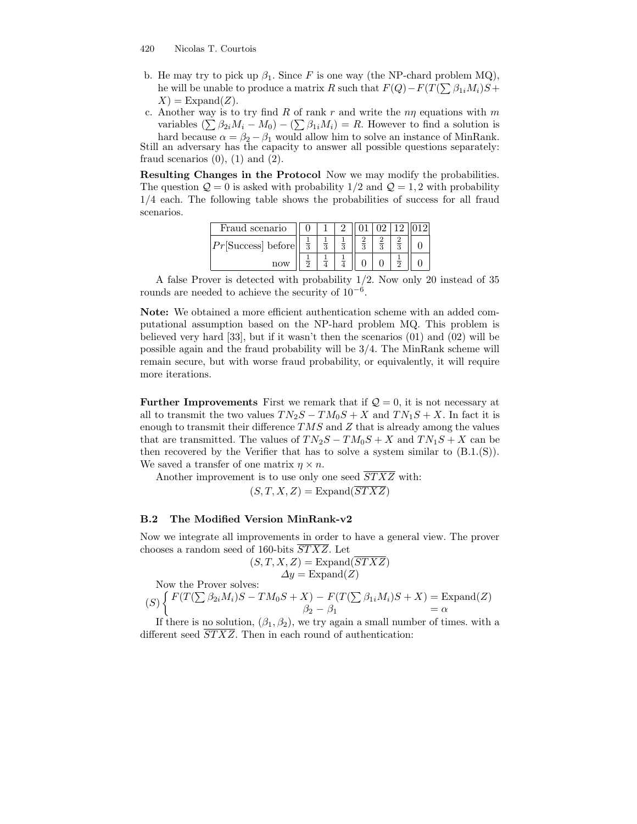- b. He may try to pick up  $\beta_1$ . Since F is one way (the NP-chard problem MQ), he will be unable to produce a matrix R such that  $F(Q) - F(T(\sum \beta_{1i}M_i)S +$  $X$ ) = Expand(Z).
- c. Another way is to try find R of rank r and write the  $n\eta$  equations with m variables  $(\sum \beta_{2i}M_i - M_0) - (\sum \beta_{1i}M_i) = R$ . However to find a solution is hard because  $\alpha = \beta_2 - \beta_1$  would allow him to solve an instance of MinRank.<br>Still an adversary has the capacity to answer all possible questions separately: fraud scenarios  $(0)$ ,  $(1)$  and  $(2)$ .

Resulting Changes in the Protocol Now we may modify the probabilities. The question  $Q = 0$  is asked with probability  $1/2$  and  $Q = 1, 2$  with probability 1/4 each. The following table shows the probabilities of success for all fraud scenarios.

| Fraud scenario              |                |                |                     |   |                     |  |
|-----------------------------|----------------|----------------|---------------------|---|---------------------|--|
| $Pr[\text{Success}]$ before | $\overline{2}$ | $\overline{2}$ | ີ<br>$\overline{2}$ | o | o<br>$\overline{2}$ |  |
| now                         |                |                |                     |   | $\overline{2}$      |  |

A false Prover is detected with probability 1/2. Now only 20 instead of 35 rounds are needed to achieve the security of  $10^{-6}$ .

Note: We obtained a more efficient authentication scheme with an added computational assumption based on the NP-hard problem MQ. This problem is believed very hard  $[33]$ , but if it wasn't then the scenarios  $(01)$  and  $(02)$  will be possible again and the fraud probability will be 3/4. The MinRank scheme will remain secure, but with worse fraud probability, or equivalently, it will require more iterations.

**Further Improvements** First we remark that if  $\mathcal{Q} = 0$ , it is not necessary at all to transmit the two values  $TN_2S - TM_0S + X$  and  $TN_1S + X$ . In fact it is enough to transmit their difference  $TMS$  and  $Z$  that is already among the values that are transmitted. The values of  $TN_2S - TM_0S + X$  and  $TN_1S + X$  can be then recovered by the Verifier that has to solve a system similar to (B.1.(S)). We saved a transfer of one matrix  $\eta \times n$ .

Another improvement is to use only one seed  $\overline{STXZ}$  with:

$$
(S, T, X, Z) = \text{Expand}(\overline{STXZ})
$$

#### B.2 The Modified Version MinRank-v2

Now we integrate all improvements in order to have a general view. The prover chooses a random seed of 160-bits  $STXZ$ . Let

$$
(S, T, X, Z) = \text{Expand}(\overline{STXZ})
$$

$$
\Delta y = \text{Expand}(Z)
$$

Now the Prover solves:

$$
(S)\begin{cases}F(T(\sum \beta_{2i}M_i)S - TM_0S + X) - F(T(\sum \beta_{1i}M_i)S + X) = \text{Expand}(Z)\\ \beta_2 - \beta_1 = \alpha\end{cases}
$$

If there is no solution,  $(\beta_1, \beta_2)$ , we try again a small number of times. with a different seed  $\overline{STXZ}$ . Then in each round of authentication: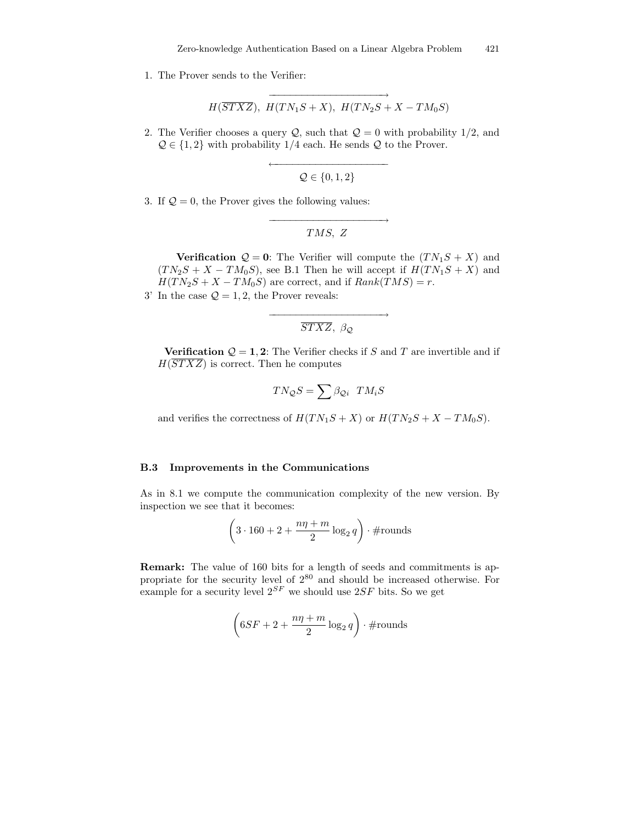1. The Prover sends to the Verifier:

$$
H(\overrightarrow{STXZ}), H(TN_1S + X), H(TN_2S + X - TM_0S)
$$

2. The Verifier chooses a query  $\mathcal{Q}$ , such that  $\mathcal{Q} = 0$  with probability 1/2, and  $\mathcal{Q} \in \{1, 2\}$  with probability 1/4 each. He sends  $\mathcal{Q}$  to the Prover.

> ←−−−−−−−−−−−−−−−−−−−−  $Q \in \{0, 1, 2\}$

3. If  $\mathcal{Q} = 0$ , the Prover gives the following values:

$$
\overbrace{\hspace{4.5cm}TMS,\ Z}
$$

Verification  $Q = 0$ : The Verifier will compute the  $(T N_1 S + X)$  and  $(T N_2 S + X - T M_0 S)$ , see B.1 Then he will accept if  $H(T N_1 S + X)$  and  $H(T N_2 S + X - T M_0 S)$  are correct, and if  $Rank(TMS) = r$ .

3' In the case  $\mathcal{Q} = 1, 2$ , the Prover reveals:

$$
\overrightarrow{STXZ}, \ \beta_{\mathcal{Q}}
$$

**Verification**  $Q = 1, 2$ : The Verifier checks if S and T are invertible and if  $H(\overline{STXZ})$  is correct. Then he computes

$$
TN_{\mathcal{Q}}S = \sum \beta_{\mathcal{Q}i} \quad TM_iS
$$

and verifies the correctness of  $H(T N_1 S + X)$  or  $H(T N_2 S + X - T M_0 S)$ .

#### B.3 Improvements in the Communications

As in 8.1 we compute the communication complexity of the new version. By inspection we see that it becomes:

$$
\left(3 \cdot 160 + 2 + \frac{n\eta + m}{2} \log_2 q\right) \cdot \text{\#rounds}
$$

Remark: The value of 160 bits for a length of seeds and commitments is appropriate for the security level of 2 <sup>80</sup> and should be increased otherwise. For example for a security level  $2^{SF}$  we should use  $2SF$  bits. So we get

$$
\left(6SF + 2 + \frac{n\eta + m}{2}\log_2 q\right) \cdot \text{\#rounds}
$$